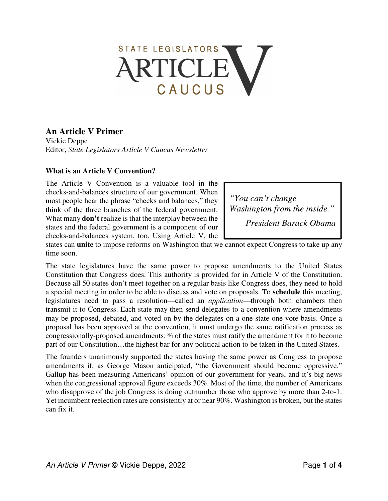# STATE LEGISLATORS RTICLE CAUCUS

# **An Article V Primer**

Vickie Deppe Editor, *State Legislators Article V Caucus Newsletter* 

## **What is an Article V Convention?**

The Article V Convention is a valuable tool in the checks-and-balances structure of our government. When most people hear the phrase "checks and balances," they think of the three branches of the federal government. What many **don't** realize is that the interplay between the states and the federal government is a component of our checks-and-balances system, too. Using Article V, the

*"You can't change Washington from the inside." President Barack Obama*

states can **unite** to impose reforms on Washington that we cannot expect Congress to take up any time soon.

The state legislatures have the same power to propose amendments to the United States Constitution that Congress does. This authority is provided for in Article V of the Constitution. Because all 50 states don't meet together on a regular basis like Congress does, they need to hold a special meeting in order to be able to discuss and vote on proposals. To **schedule** this meeting, legislatures need to pass a resolution—called an *application*—through both chambers then transmit it to Congress. Each state may then send delegates to a convention where amendments may be proposed, debated, and voted on by the delegates on a one-state one-vote basis. Once a proposal has been approved at the convention, it must undergo the same ratification process as congressionally-proposed amendments: ¾ of the states must ratify the amendment for it to become part of our Constitution…the highest bar for any political action to be taken in the United States.

The founders unanimously supported the states having the same power as Congress to propose amendments if, as George Mason anticipated, "the Government should become oppressive." Gallup has been measuring Americans' opinion of our government for years, and it's big news when the congressional approval figure exceeds 30%. Most of the time, the number of Americans who disapprove of the job Congress is doing outnumber those who approve by more than 2-to-1. Yet incumbent reelection rates are consistently at or near 90%. Washington is broken, but the states can fix it.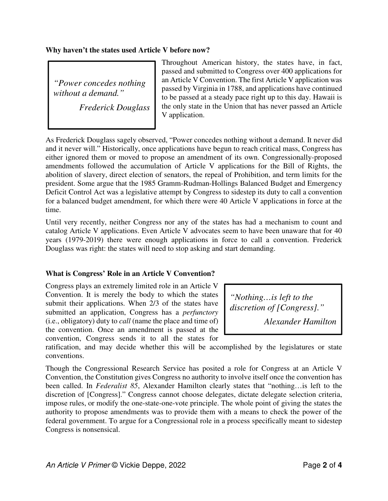#### **Why haven't the states used Article V before now?**

*"Power concedes nothing without a demand."* 

*Frederick Douglass*

Throughout American history, the states have, in fact, passed and submitted to Congress over 400 applications for an Article V Convention. The first Article V application was passed by Virginia in 1788, and applications have continued to be passed at a steady pace right up to this day. Hawaii is the only state in the Union that has never passed an Article V application.

As Frederick Douglass sagely observed, "Power concedes nothing without a demand. It never did and it never will." Historically, once applications have begun to reach critical mass, Congress has either ignored them or moved to propose an amendment of its own. Congressionally-proposed amendments followed the accumulation of Article V applications for the Bill of Rights, the abolition of slavery, direct election of senators, the repeal of Prohibition, and term limits for the president. Some argue that the 1985 Gramm-Rudman-Hollings Balanced Budget and Emergency Deficit Control Act was a legislative attempt by Congress to sidestep its duty to call a convention for a balanced budget amendment, for which there were 40 Article V applications in force at the time.

Until very recently, neither Congress nor any of the states has had a mechanism to count and catalog Article V applications. Even Article V advocates seem to have been unaware that for 40 years (1979-2019) there were enough applications in force to call a convention. Frederick Douglass was right: the states will need to stop asking and start demanding.

# **What is Congress' Role in an Article V Convention?**

Congress plays an extremely limited role in an Article V Convention. It is merely the body to which the states submit their applications. When 2/3 of the states have submitted an application, Congress has a *perfunctory* (i.e., obligatory) duty to *call* (name the place and time of) the convention. Once an amendment is passed at the convention, Congress sends it to all the states for

*"Nothing…is left to the discretion of [Congress]." Alexander Hamilton*

ratification, and may decide whether this will be accomplished by the legislatures or state conventions.

Though the Congressional Research Service has posited a role for Congress at an Article V Convention, the Constitution gives Congress no authority to involve itself once the convention has been called. In *Federalist 85*, Alexander Hamilton clearly states that "nothing…is left to the discretion of [Congress]." Congress cannot choose delegates, dictate delegate selection criteria, impose rules, or modify the one-state-one-vote principle. The whole point of giving the states the authority to propose amendments was to provide them with a means to check the power of the federal government. To argue for a Congressional role in a process specifically meant to sidestep Congress is nonsensical.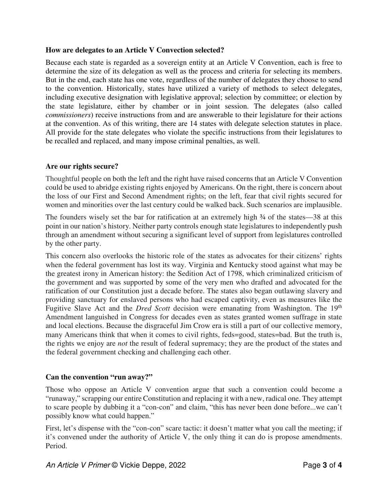## **How are delegates to an Article V Convection selected?**

Because each state is regarded as a sovereign entity at an Article V Convention, each is free to determine the size of its delegation as well as the process and criteria for selecting its members. But in the end, each state has one vote, regardless of the number of delegates they choose to send to the convention. Historically, states have utilized a variety of methods to select delegates, including executive designation with legislative approval; selection by committee; or election by the state legislature, either by chamber or in joint session. The delegates (also called *commissioners*) receive instructions from and are answerable to their legislature for their actions at the convention. As of this writing, there are 14 states with delegate selection statutes in place. All provide for the state delegates who violate the specific instructions from their legislatures to be recalled and replaced, and many impose criminal penalties, as well.

## **Are our rights secure?**

Thoughtful people on both the left and the right have raised concerns that an Article V Convention could be used to abridge existing rights enjoyed by Americans. On the right, there is concern about the loss of our First and Second Amendment rights; on the left, fear that civil rights secured for women and minorities over the last century could be walked back. Such scenarios are implausible.

The founders wisely set the bar for ratification at an extremely high  $\frac{3}{4}$  of the states—38 at this point in our nation's history. Neither party controls enough state legislatures to independently push through an amendment without securing a significant level of support from legislatures controlled by the other party.

This concern also overlooks the historic role of the states as advocates for their citizens' rights when the federal government has lost its way. Virginia and Kentucky stood against what may be the greatest irony in American history: the Sedition Act of 1798, which criminalized criticism of the government and was supported by some of the very men who drafted and advocated for the ratification of our Constitution just a decade before. The states also began outlawing slavery and providing sanctuary for enslaved persons who had escaped captivity, even as measures like the Fugitive Slave Act and the *Dred Scott* decision were emanating from Washington. The 19<sup>th</sup> Amendment languished in Congress for decades even as states granted women suffrage in state and local elections. Because the disgraceful Jim Crow era is still a part of our collective memory, many Americans think that when it comes to civil rights, feds=good, states=bad. But the truth is, the rights we enjoy are *not* the result of federal supremacy; they are the product of the states and the federal government checking and challenging each other.

# **Can the convention "run away?"**

Those who oppose an Article V convention argue that such a convention could become a "runaway," scrapping our entire Constitution and replacing it with a new, radical one. They attempt to scare people by dubbing it a "con-con" and claim, "this has never been done before...we can't possibly know what could happen."

First, let's dispense with the "con-con" scare tactic: it doesn't matter what you call the meeting; if it's convened under the authority of Article V, the only thing it can do is propose amendments. Period.